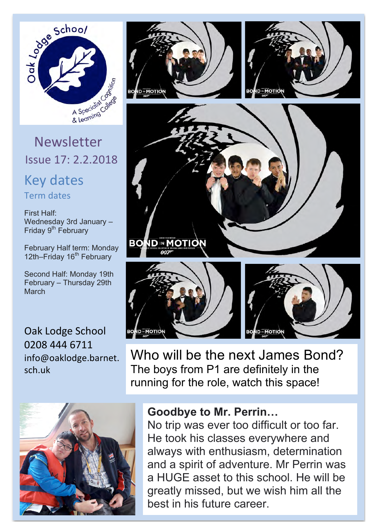

Issue 17: 2.2.2018

Key dates Term dates

First Half: Wednesday 3rd January – Friday 9<sup>th</sup> February

February Half term: Monday 12th–Friday 16<sup>th</sup> February

Second Half: Monday 19th February – Thursday 29th March

Oak Lodge School 0208 444 6711 info@oaklodge.barnet. sch.uk













Who will be the next James Bond? The boys from P1 are definitely in the running for the role, watch this space!

## **Goodbye to Mr. Perrin…**

No trip was ever too difficult or too far. He took his classes everywhere and always with enthusiasm, determination and a spirit of adventure. Mr Perrin was a HUGE asset to this school. He will be greatly missed, but we wish him all the best in his future career.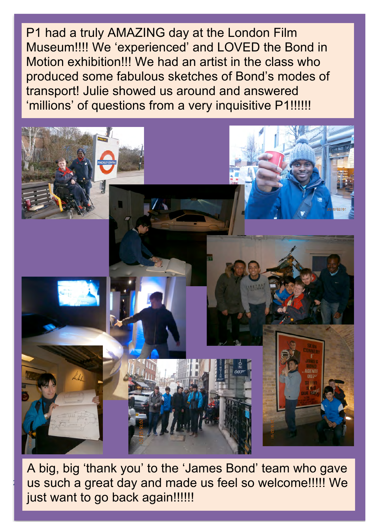P1 had a truly AMAZING day at the London Film Museum!!!! We 'experienced' and LOVED the Bond in Motion exhibition!!! We had an artist in the class who produced some fabulous sketches of Bond's modes of transport! Julie showed us around and answered 'millions' of questions from a very inquisitive P1!!!!!!



us such a great day and made us feel so welcome!!!!! We A big, big 'thank you' to the 'James Bond' team who gave just want to go back again!!!!!!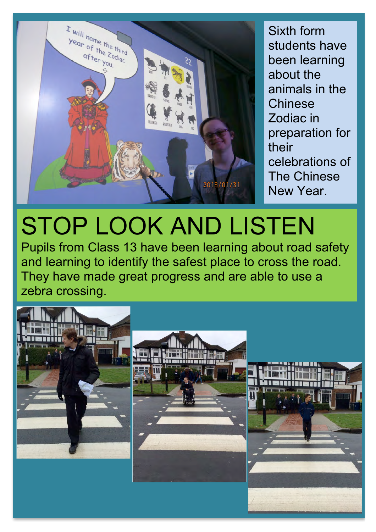

Sixth form students have been learning about the animals in the **Chinese** Zodiac in preparation for their celebrations of The Chinese New Year.

## STOP LOOK AND LISTEN

Pupils from Class 13 have been learning about road safety and learning to identify the safest place to cross the road. They have made great progress and are able to use a zebra crossing.